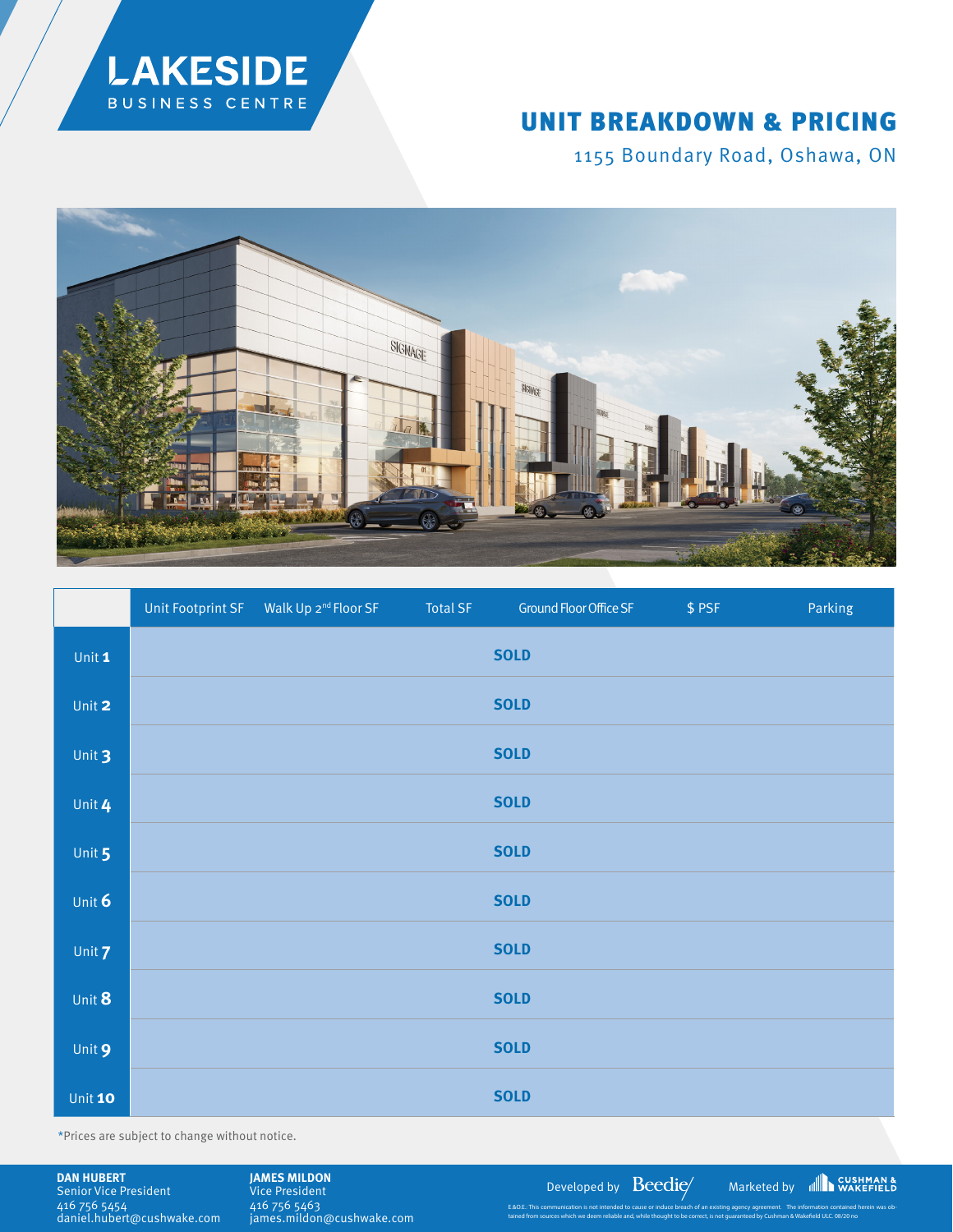

## UNIT BREAKDOWN & PRICING

1155 Boundary Road, Oshawa, ON



|               |  | <b>Total SF</b> | Ground Floor Office SF | \$PSF | Parking |
|---------------|--|-----------------|------------------------|-------|---------|
| Unit 1        |  |                 | <b>SOLD</b>            |       |         |
| Unit 2        |  |                 | <b>SOLD</b>            |       |         |
| Unit 3        |  |                 | <b>SOLD</b>            |       |         |
| Unit 4        |  |                 | <b>SOLD</b>            |       |         |
| Unit 5        |  |                 | <b>SOLD</b>            |       |         |
| Unit $6$      |  |                 | <b>SOLD</b>            |       |         |
| Unit <b>7</b> |  |                 | <b>SOLD</b>            |       |         |
| Unit 8        |  |                 | <b>SOLD</b>            |       |         |
| Unit 9        |  |                 | <b>SOLD</b>            |       |         |
| Unit 10       |  |                 | <b>SOLD</b>            |       |         |

\*Prices are subject to change without notice.

**DAN HUBERT** Senior Vice President 416 756 5454 daniel.hubert@cushwake.com

Vice President 416 756 5463 james.mildon@cushwake.com

**JAMES MILDON**<br>Vice President **CONSUMERTIES** 

E.&O.E.: This communication is not intended to cause or induce breach of an existing agency agreement. The information contained herein was obtained from sources which we deem reliable and, while thought to be correct, is not guaranteed by Cushman & Wakefield ULC. 08/20 no